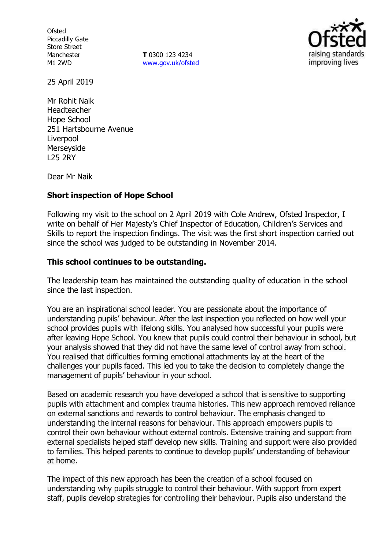**Ofsted** Piccadilly Gate Store Street Manchester M1 2WD

**T** 0300 123 4234 www.gov.uk/ofsted



25 April 2019

Mr Rohit Naik Headteacher Hope School 251 Hartsbourne Avenue Liverpool Merseyside L25 2RY

Dear Mr Naik

## **Short inspection of Hope School**

Following my visit to the school on 2 April 2019 with Cole Andrew, Ofsted Inspector, I write on behalf of Her Majesty's Chief Inspector of Education, Children's Services and Skills to report the inspection findings. The visit was the first short inspection carried out since the school was judged to be outstanding in November 2014.

# **This school continues to be outstanding.**

The leadership team has maintained the outstanding quality of education in the school since the last inspection.

You are an inspirational school leader. You are passionate about the importance of understanding pupils' behaviour. After the last inspection you reflected on how well your school provides pupils with lifelong skills. You analysed how successful your pupils were after leaving Hope School. You knew that pupils could control their behaviour in school, but your analysis showed that they did not have the same level of control away from school. You realised that difficulties forming emotional attachments lay at the heart of the challenges your pupils faced. This led you to take the decision to completely change the management of pupils' behaviour in your school.

Based on academic research you have developed a school that is sensitive to supporting pupils with attachment and complex trauma histories. This new approach removed reliance on external sanctions and rewards to control behaviour. The emphasis changed to understanding the internal reasons for behaviour. This approach empowers pupils to control their own behaviour without external controls. Extensive training and support from external specialists helped staff develop new skills. Training and support were also provided to families. This helped parents to continue to develop pupils' understanding of behaviour at home.

The impact of this new approach has been the creation of a school focused on understanding why pupils struggle to control their behaviour. With support from expert staff, pupils develop strategies for controlling their behaviour. Pupils also understand the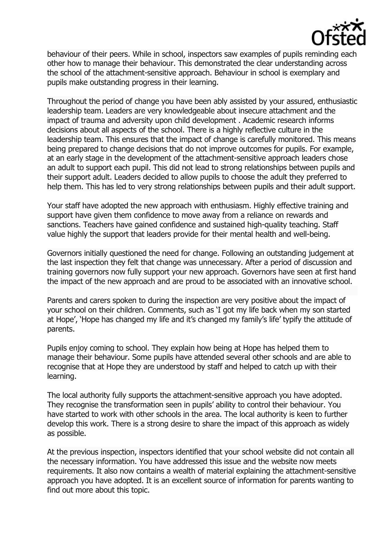

behaviour of their peers. While in school, inspectors saw examples of pupils reminding each other how to manage their behaviour. This demonstrated the clear understanding across the school of the attachment-sensitive approach. Behaviour in school is exemplary and pupils make outstanding progress in their learning.

Throughout the period of change you have been ably assisted by your assured, enthusiastic leadership team. Leaders are very knowledgeable about insecure attachment and the impact of trauma and adversity upon child development . Academic research informs decisions about all aspects of the school. There is a highly reflective culture in the leadership team. This ensures that the impact of change is carefully monitored. This means being prepared to change decisions that do not improve outcomes for pupils. For example, at an early stage in the development of the attachment-sensitive approach leaders chose an adult to support each pupil. This did not lead to strong relationships between pupils and their support adult. Leaders decided to allow pupils to choose the adult they preferred to help them. This has led to very strong relationships between pupils and their adult support.

Your staff have adopted the new approach with enthusiasm. Highly effective training and support have given them confidence to move away from a reliance on rewards and sanctions. Teachers have gained confidence and sustained high-quality teaching. Staff value highly the support that leaders provide for their mental health and well-being.

Governors initially questioned the need for change. Following an outstanding judgement at the last inspection they felt that change was unnecessary. After a period of discussion and training governors now fully support your new approach. Governors have seen at first hand the impact of the new approach and are proud to be associated with an innovative school.

Parents and carers spoken to during the inspection are very positive about the impact of your school on their children. Comments, such as 'I got my life back when my son started at Hope', 'Hope has changed my life and it's changed my family's life' typify the attitude of parents.

Pupils enjoy coming to school. They explain how being at Hope has helped them to manage their behaviour. Some pupils have attended several other schools and are able to recognise that at Hope they are understood by staff and helped to catch up with their learning.

The local authority fully supports the attachment-sensitive approach you have adopted. They recognise the transformation seen in pupils' ability to control their behaviour. You have started to work with other schools in the area. The local authority is keen to further develop this work. There is a strong desire to share the impact of this approach as widely as possible.

At the previous inspection, inspectors identified that your school website did not contain all the necessary information. You have addressed this issue and the website now meets requirements. It also now contains a wealth of material explaining the attachment-sensitive approach you have adopted. It is an excellent source of information for parents wanting to find out more about this topic.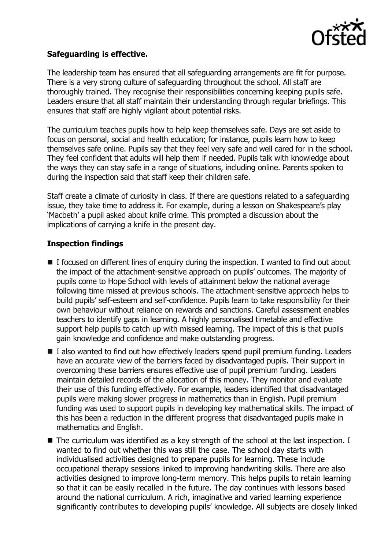

## **Safeguarding is effective.**

The leadership team has ensured that all safeguarding arrangements are fit for purpose. There is a very strong culture of safeguarding throughout the school. All staff are thoroughly trained. They recognise their responsibilities concerning keeping pupils safe. Leaders ensure that all staff maintain their understanding through regular briefings. This ensures that staff are highly vigilant about potential risks.

The curriculum teaches pupils how to help keep themselves safe. Days are set aside to focus on personal, social and health education; for instance, pupils learn how to keep themselves safe online. Pupils say that they feel very safe and well cared for in the school. They feel confident that adults will help them if needed. Pupils talk with knowledge about the ways they can stay safe in a range of situations, including online. Parents spoken to during the inspection said that staff keep their children safe.

Staff create a climate of curiosity in class. If there are questions related to a safeguarding issue, they take time to address it. For example, during a lesson on Shakespeare's play 'Macbeth' a pupil asked about knife crime. This prompted a discussion about the implications of carrying a knife in the present day.

# **Inspection findings**

- I focused on different lines of enquiry during the inspection. I wanted to find out about the impact of the attachment-sensitive approach on pupils' outcomes. The majority of pupils come to Hope School with levels of attainment below the national average following time missed at previous schools. The attachment-sensitive approach helps to build pupils' self-esteem and self-confidence. Pupils learn to take responsibility for their own behaviour without reliance on rewards and sanctions. Careful assessment enables teachers to identify gaps in learning. A highly personalised timetable and effective support help pupils to catch up with missed learning. The impact of this is that pupils gain knowledge and confidence and make outstanding progress.
- I also wanted to find out how effectively leaders spend pupil premium funding. Leaders have an accurate view of the barriers faced by disadvantaged pupils. Their support in overcoming these barriers ensures effective use of pupil premium funding. Leaders maintain detailed records of the allocation of this money. They monitor and evaluate their use of this funding effectively. For example, leaders identified that disadvantaged pupils were making slower progress in mathematics than in English. Pupil premium funding was used to support pupils in developing key mathematical skills. The impact of this has been a reduction in the different progress that disadvantaged pupils make in mathematics and English.
- The curriculum was identified as a key strength of the school at the last inspection. I wanted to find out whether this was still the case. The school day starts with individualised activities designed to prepare pupils for learning. These include occupational therapy sessions linked to improving handwriting skills. There are also activities designed to improve long-term memory. This helps pupils to retain learning so that it can be easily recalled in the future. The day continues with lessons based around the national curriculum. A rich, imaginative and varied learning experience significantly contributes to developing pupils' knowledge. All subjects are closely linked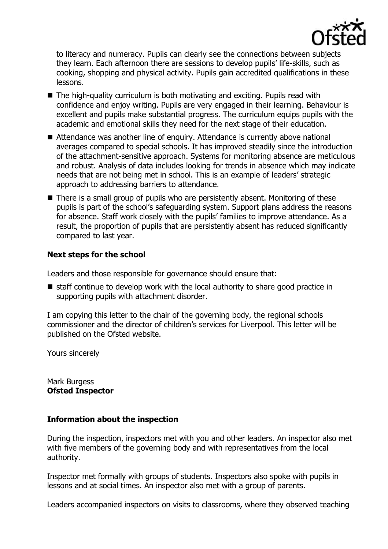

to literacy and numeracy. Pupils can clearly see the connections between subjects they learn. Each afternoon there are sessions to develop pupils' life-skills, such as cooking, shopping and physical activity. Pupils gain accredited qualifications in these lessons.

- The high-quality curriculum is both motivating and exciting. Pupils read with confidence and enjoy writing. Pupils are very engaged in their learning. Behaviour is excellent and pupils make substantial progress. The curriculum equips pupils with the academic and emotional skills they need for the next stage of their education.
- Attendance was another line of enquiry. Attendance is currently above national averages compared to special schools. It has improved steadily since the introduction of the attachment-sensitive approach. Systems for monitoring absence are meticulous and robust. Analysis of data includes looking for trends in absence which may indicate needs that are not being met in school. This is an example of leaders' strategic approach to addressing barriers to attendance.
- There is a small group of pupils who are persistently absent. Monitoring of these pupils is part of the school's safeguarding system. Support plans address the reasons for absence. Staff work closely with the pupils' families to improve attendance. As a result, the proportion of pupils that are persistently absent has reduced significantly compared to last year.

# **Next steps for the school**

Leaders and those responsible for governance should ensure that:

staff continue to develop work with the local authority to share good practice in supporting pupils with attachment disorder.

I am copying this letter to the chair of the governing body, the regional schools commissioner and the director of children's services for Liverpool. This letter will be published on the Ofsted website.

Yours sincerely

Mark Burgess **Ofsted Inspector**

## **Information about the inspection**

During the inspection, inspectors met with you and other leaders. An inspector also met with five members of the governing body and with representatives from the local authority.

Inspector met formally with groups of students. Inspectors also spoke with pupils in lessons and at social times. An inspector also met with a group of parents.

Leaders accompanied inspectors on visits to classrooms, where they observed teaching